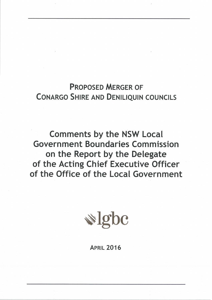# **PROPOSED MERGER OF CONARGO SHIRE AND DENILIQUIN COUNCILS**

**Comments by the NSW Local Government Boundaries Commission** on the Report by the Delegate of the Acting Chief Executive Officer of the Office of the Local Government



**APRIL 2016**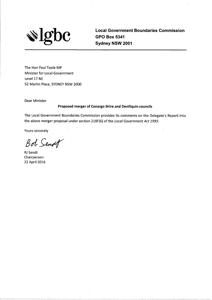

**Local Government Boundaries Commission GPO Box 5341** Sydney NSW 2001

The Hon Paul Toole MP **Minister for Local Government** Level 17 NE 52 Martin Place, SYDNEY NSW 2000

**Dear Minister** 

#### Proposed merger of Conargo Shire and Deniliquin councils

The Local Government Boundaries Commission provides its comments on the Delegate's Report into the above merger proposal under section 218F(6) of the Local Government Act 1993.

Yours sincerely

Bot Senset

**RJ** Sendt Chairperson 22 April 2016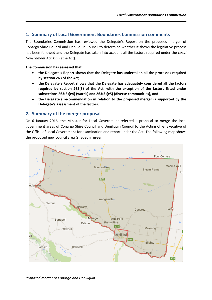## **1. Summary of Local Government Boundaries Commission comments**

The Boundaries Commission has reviewed the Delegate's Report on the proposed merger of Conargo Shire Council and Deniliquin Council to determine whether it shows the legislative process has been followed and the Delegate has taken into account all the factors required under the *Local Government Act 1993* (the Act).

#### **The Commission has assessed that:**

- **the Delegate's Report shows that the Delegate has undertaken all the processes required by section 263 of the Act***,*
- **the Delegate's Report shows that the Delegate has adequately considered all the factors required by section 263(3) of the Act, with the exception of the factors listed under subsections 263(3)(e4) (wards) and 263(3)(e5) (diverse communities), and**
- **the Delegate's recommendation in relation to the proposed merger is supported by the Delegate's assessment of the factors.**

## **2. Summary of the merger proposal**

On 6 January 2016, the Minister for Local Government referred a proposal to merge the local government areas of Conargo Shire Council and Deniliquin Council to the Acting Chief Executive of the Office of Local Government for examination and report under the Act. The following map shows the proposed new council area (shaded in green).



*Proposed merger of Conargo and Deniliquin*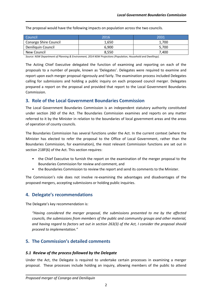The proposal would have the following impacts on population across the two councils.

| Council                      | 2016  | 2031  |
|------------------------------|-------|-------|
| <b>Conargo Shire Council</b> | 1,650 | 1.700 |
| Deniliquin Council           | 6.900 | 5.700 |
| New Council                  | 8,550 | 7.400 |

*Source: NSW Department of Planning & Environment, 2014 NSW Projections (Population, Household and Dwellings).*

The Acting Chief Executive delegated the function of examining and reporting on each of the proposals to a number of people, known as 'Delegates'. Delegates were required to examine and report upon each merger proposal rigorously and fairly. The examination process included Delegates calling for submissions and holding a public inquiry on each proposed council merger. Delegates prepared a report on the proposal and provided that report to the Local Government Boundaries Commission.

### **3. Role of the Local Government Boundaries Commission**

The Local Government Boundaries Commission is an independent statutory authority constituted under section 260 of the Act. The Boundaries Commission examines and reports on any matter referred to it by the Minister in relation to the boundaries of local government areas and the areas of operation of county councils.

The Boundaries Commission has several functions under the Act. In the current context (where the Minister has elected to refer the proposal to the Office of Local Government, rather than the Boundaries Commission, for examination), the most relevant Commission functions are set out in section 218F(6) of the Act. This section requires:

- the Chief Executive to furnish the report on the examination of the merger proposal to the Boundaries Commission for review and comment, and
- the Boundaries Commission to review the report and send its comments to the Minister.

The Commission's role does not involve re-examining the advantages and disadvantages of the proposed mergers, accepting submissions or holding public inquiries.

## **4. Delegate's recommendations**

The Delegate's key recommendation is:

*"Having considered the merger proposal, the submissions presented to me by the affected councils, the submissions from members of the public and community groups and other material, and having regard to factors set out in section 263(3) of the Act, I consider the proposal should proceed to implementation."*

## **5. The Commission's detailed comments**

#### *5.1 Review of the process followed by the Delegate*

Under the Act, the Delegate is required to undertake certain processes in examining a merger proposal. These processes include holding an inquiry, allowing members of the public to attend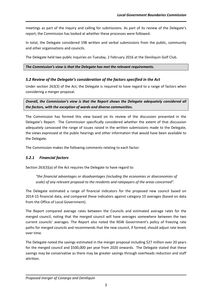meetings as part of the inquiry and calling for submissions. As part of its review of the Delegate's report, the Commission has looked at whether these processes were followed.

In total, the Delegate considered 198 written and verbal submissions from the public, community and other organisations and councils.

The Delegate held two public inquiries on Tuesday, 2 February 2016 at the Deniliquin Golf Club.

*The Commission's view is that the Delegate has met the relevant requirements.*

## *5.2 Review of the Delegate's consideration of the factors specified in the Act*

Under section 263(3) of the Act, the Delegate is required to have regard to a range of factors when considering a merger proposal.

*Overall, the Commission's view is that the Report shows the Delegate adequately considered all the factors, with the exception of wards and diverse communities.*

The Commission has formed this view based on its review of the discussion presented in the Delegate's Report. The Commission specifically considered whether the extent of that discussion adequately canvassed the range of issues raised in the written submissions made to the Delegate, the views expressed at the public hearings and other information that would have been available to the Delegate.

The Commission makes the following comments relating to each factor:

## *5.2.1 Financial factors*

Section 263(3)(a) of the Act requires the Delegate to have regard to:

*"the financial advantages or disadvantages (including the economies or diseconomies of scale) of any relevant proposal to the residents and ratepayers of the areas concerned".*

The Delegate estimated a range of financial indicators for the proposed new council based on 2014-15 financial data, and compared these indicators against category 10 averages (based on data from the Office of Local Government).

The Report compared average rates between the Councils and estimated average rates for the merged council, noting that the merged council will have averages somewhere between the two current councils' averages. The Report also noted the NSW Government's policy of freezing rate paths for merged councils and recommends that the new council, if formed, should adjust rate levels over time.

The Delegate noted the savings estimated in the merger proposal including \$27 million over 20 years for the merged council and \$500,000 per year from 2020 onwards. The Delegate stated that these savings may be conservative as there may be greater savings through overheads reduction and staff attrition.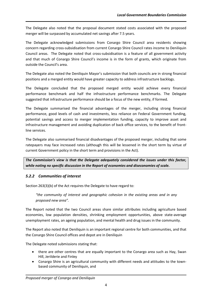The Delegate also noted that the proposal document stated costs associated with the proposed merger will be surpassed by accumulated net savings after 7.5 years.

The Delegate acknowledged submissions from Conargo Shire Council area residents showing concern regarding cross-subsidisation from current Conargo Shire Council rates income to Deniliquin Council areas. The Delegate noted that cross-subsidisation is a feature of all government activity and that much of Conargo Shire Council's income is in the form of grants, which originate from outside the Council's area.

The Delegate also noted the Deniliquin Mayor's submission that both councils are in strong financial positions and a merged entity would have greater capacity to address infrastructure backlogs.

The Delegate concluded that the proposed merged entity would achieve every financial performance benchmark and half the infrastructure performance benchmarks. The Delegate suggested that infrastructure performance should be a focus of the new entity, if formed.

The Delegate summarised the financial advantages of the merger, including strong financial performance, good levels of cash and investments, less reliance on Federal Government funding, potential savings and access to merger implementation funding, capacity to improve asset and infrastructure management and avoiding duplication of back office services, to the benefit of frontline services.

The Delegate also summarised financial disadvantages of the proposed merger, including that some ratepayers may face increased rates (although this will be lessened in the short term by virtue of current Government policy in the short term and provisions in the Act).

*The Commission's view is that the Delegate adequately considered the issues under this factor, while noting no specific discussion in the Report of economies and diseconomies of scale.*

## *5.2.2 Communities of interest*

Section 263(3)(b) of the Act requires the Delegate to have regard to:

*"the community of interest and geographic cohesion in the existing areas and in any proposed new area".*

The Report noted that the two Council areas share similar attributes including agriculture based economies, low population densities, shrinking employment opportunities, above state-average unemployment rates, an ageing population, and mental health and drug issues in the community.

The Report also noted that Deniliquin is an important regional centre for both communities, and that the Conargo Shire Council offices and depot are in Deniliquin

The Delegate noted submissions stating that:

- there are other centres that are equally important to the Conargo area such as Hay, Swan Hill, Jerilderie and Finley
- Conargo Shire is an agricultural community with different needs and attitudes to the townbased community of Deniliquin, and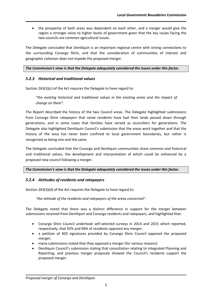• the prosperity of both areas was dependent on each other, and a merger would give the region a stronger voice to higher levels of government given that the key issues facing the two councils are common agricultural issues.

The Delegate concluded that Deniliquin is an important regional centre with strong connections to the surrounding Conargo Shire, and that the consideration of communities of interest and geographic cohesion does not impede the proposed merger.

#### *The Commission's view is that the Delegate adequately considered the issues under this factor.*

#### *5.2.3 Historical and traditional values*

Section 263(3)(c) of the Act requires the Delegate to have regard to:

*"the existing historical and traditional values in the existing areas and the impact of change on them".*

The Report described the history of the two Council areas. The Delegate highlighted submissions from Conargo Shire ratepayers that some residents have had their lands passed down through generations, and in some cases that families have served as councillors for generations. The Delegate also highlighted Deniliquin Council's submission that the areas work together and that the history of the area has never been confined to local government boundaries, but rather is recognised as being one and the same.

The Delegate concluded that the Conargo and Deniliquin communities share common and historical and traditional values, the development and interpretation of which could be enhanced by a proposed new council following a merger.

#### *The Commission's view is that the Delegate adequately considered the issues under this factor.*

#### *5.2.4 Attitudes of residents and ratepayers*

Section 263(3)(d) of the Act requires the Delegate to have regard to:

*"the attitude of the residents and ratepayers of the areas concerned".*

The Delegate noted that there was a distinct difference in support for the merger between submissions received from Deniliquin and Conargo residents and ratepayers, and highlighted that:

- Conargo Shire Council undertook self-selected surveys in 2014 and 2015 which reported, respectively, that 92% and 96% of residents opposed any merger;
- a petition of 403 signatures provided by Conargo Shire Council opposed the proposed merger;
- many submissions stated that they opposed a merger (for various reasons)
- Deniliquin Council's submission stating that consultation relating to Integrated Planning and Reporting, and previous merger proposals showed the Council's residents support the proposed merger.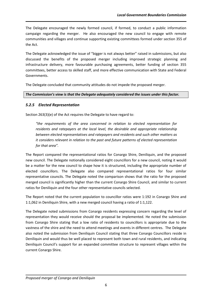The Delegate encouraged the newly formed council, if formed, to conduct a public information campaign regarding the merger. He also encouraged the new council to engage with remote communities and villages and continue supporting existing committees formed under section 355 of the Act.

The Delegate acknowledged the issue of "bigger is not always better" raised in submissions, but also discussed the benefits of the proposed merger including improved strategic planning and infrastructure delivery, more favourable purchasing agreements, better funding of section 355 committees, better access to skilled staff, and more effective communication with State and Federal Governments.

The Delegate concluded that community attitudes do not impede the proposed merger.

*The Commission's view is that the Delegate adequately considered the issues under this factor.*

## *5.2.5 Elected Representation*

Section 263(3)(e) of the Act requires the Delegate to have regard to:

*"the requirements of the area concerned in relation to elected representation for residents and ratepayers at the local level, the desirable and appropriate relationship between elected representatives and ratepayers and residents and such other matters as it considers relevant in relation to the past and future patterns of elected representation for that area".*

The Report compared the representational ratios for Conargo Shire, Deniliquin, and the proposed new council. The Delegate notionally considered eight councillors for a new council, noting it would be a matter for the new council to shape how it is structured, including the appropriate number of elected councillors. The Delegate also compared representational ratios for four similar representative councils. The Delegate noted the comparison shows that the ratio for the proposed merged council is significantly higher than the current Conargo Shire Council, and similar to current ratios for Deniliquin and the four other representative councils selected.

The Report noted that the current population to councillor ratios were 1:192 in Conargo Shire and 1:1,062 in Deniliquin Shire, with a new merged council having a ratio of 1:1,122.

The Delegate noted submissions from Conargo residents expressing concern regarding the level of representation they would receive should the proposal be implemented. He noted the submission from Conargo Shire stating that a low ratio of residents to councillors is appropriate due to the vastness of the shire and the need to attend meetings and events in different centres. The Delegate also noted the submission from Deniliquin Council stating that three Conargo Councillors reside in Deniliquin and would thus be well placed to represent both town and rural residents, and indicating Deniliquin Council's support for an expanded committee structure to represent villages within the current Conargo Shire.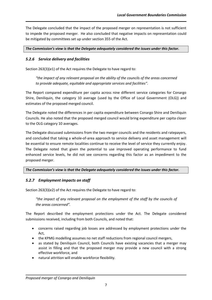The Delegate concluded that the impact of the proposed merger on representation is not sufficient to impede the proposed merger. He also concluded that negative impacts on representation could be mitigated by committees set up under section 355 of the Act.

#### *The Commission's view is that the Delegate adequately considered the issues under this factor.*

### *5.2.6 Service delivery and facilities*

Section 263(3)(e1) of the Act requires the Delegate to have regard to:

*"the impact of any relevant proposal on the ability of the councils of the areas concerned to provide adequate, equitable and appropriate services and facilities".*

The Report compared expenditure per capita across nine different service categories for Conargo Shire, Deniliquin, the category 10 average (used by the Office of Local Government (OLG)) and estimates of the proposed merged council.

The Delegate noted the differences in per capita expenditure between Conargo Shire and Deniliquin Councils. He also noted that the proposed merged council would bring expenditure per capita closer to the OLG category 10 averages.

The Delegate discussed submissions from the two merger councils and the residents and ratepayers, and concluded that taking a whole-of-area approach to service delivery and asset management will be essential to ensure remote localities continue to receive the level of service they currently enjoy. The Delegate noted that given the potential to use improved operating performance to fund enhanced service levels, he did not see concerns regarding this factor as an impediment to the proposed merger.

#### *The Commission's view is that the Delegate adequately considered the issues under this factor.*

#### *5.2.7 Employment impacts on staff*

Section 263(3)(e2) of the Act requires the Delegate to have regard to:

*"the impact of any relevant proposal on the employment of the staff by the councils of the areas concerned".*

The Report described the employment protections under the Act. The Delegate considered submissions received, including from both Councils, and noted that:

- concerns raised regarding job losses are addressed by employment protections under the Act,
- the KPMG modelling assumes no net staff reductions from regional council mergers,
- as stated by Deniliquin Council, both Councils have existing vacancies that a merger may assist in filling and that the proposed merger may provide a new council with a strong effective workforce, and
- natural attrition will enable workforce flexibility.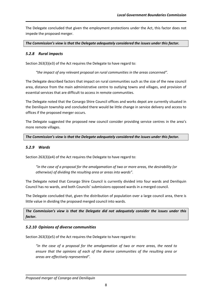The Delegate concluded that given the employment protections under the Act, this factor does not impede the proposed merger.

*The Commission's view is that the Delegate adequately considered the issues under this factor.* 

#### *5.2.8 Rural impacts*

Section 263(3)(e3) of the Act requires the Delegate to have regard to:

*"the impact of any relevant proposal on rural communities in the areas concerned".*

The Delegate described factors that impact on rural communities such as the size of the new council area, distance from the main administrative centre to outlying towns and villages, and provision of essential services that are difficult to access in remote communities.

The Delegate noted that the Conargo Shire Council offices and works depot are currently situated in the Deniliquin township and concluded there would be little change in service delivery and access to offices if the proposed merger occurs.

The Delegate suggested the proposed new council consider providing service centres in the area's more remote villages.

*The Commission's view is that the Delegate adequately considered the issues under this factor.* 

#### *5.2.9 Wards*

Section 263(3)(e4) of the Act requires the Delegate to have regard to:

*"in the case of a proposal for the amalgamation of two or more areas, the desirability (or otherwise) of dividing the resulting area or areas into wards".*

The Delegate noted that Conargo Shire Council is currently divided into four wards and Deniliquin Council has no wards, and both Councils' submissions opposed wards in a merged council.

The Delegate concluded that, given the distribution of population over a large council area, there is little value in dividing the proposed merged council into wards.

*The Commission's view is that the Delegate did not adequately consider the issues under this factor.* 

#### *5.2.10 Opinions of diverse communities*

Section 263(3)(e5) of the Act requires the Delegate to have regard to:

*"in the case of a proposal for the amalgamation of two or more areas, the need to ensure that the opinions of each of the diverse communities of the resulting area or areas are effectively represented".*